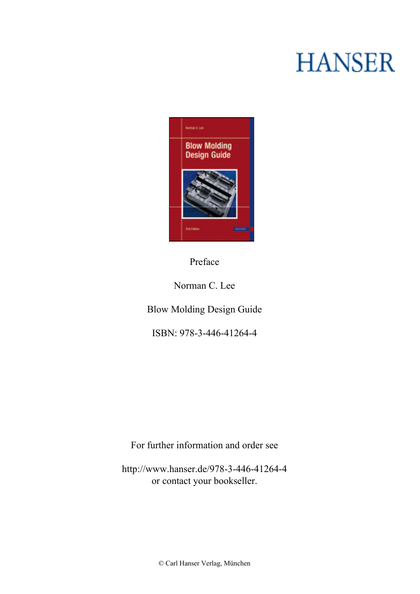## **HANSER**



**Preface**

**Norman C. Lee**

**Blow Molding Design Guide**

**ISBN: 978-3-446-41264-4**

**For further information and order see**

**<http://www.hanser.de/978-3-446-41264-4> or contact your bookseller.**